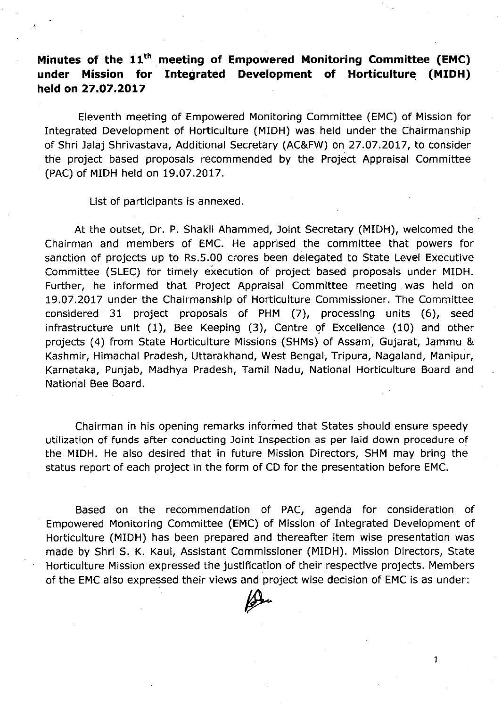# **Minutes of the 11th. meeting of Empowered Monitoring Committee (EMC) under Mission for Integrated Development of Horticulture (MIDH) held on 27.07.2017**

Eleventh meeting of Empowered Monitoring Committee (EMC) of Mission for Integrated Development of Horticulture (MIDH) was held under the Chairmanship of Shri Jalaj Shrivastava, Additional Secretary (AC&FW) on 27.07.2017, to consider the project based proposals recommended by the Project Appraisal Committee (PAC) of MIDH held on 19.07.2017.

List of participants is annexed.

At the outset, Dr. P. Shakil Ahammed, Joint Secretary (MIDH), welcomed the Chairman and members of EMC. He apprised the committee that powers for sanction of projects up to Rs.5.00 crores been delegated to State Level Executive Committee (SLEC) for timely execution of project based proposals under MIDH. Further, he informed that Project Appraisal Committee meeting. was held on 19.07.2017 under the Chairmanship of Horticulture Commissioner. The Committee considered 31 project proposals of PHM (7), processing units (6), seed infrastructure unit (1), Bee Keeping (3), Centre of Excellence (10) and other projects (4) from State Horticulture Missions (SHMs) of Assam, Gujarat, Jammu & Kashmir, Himachal Pradesh, Uttarakhand, West Bengal, Tripura, Nagaland, Manipur, Karnataka, Punjab, Madhya Pradesh, Tamil Nadu, National Horticulture Board and National Bee Board.

Chairman in his opening remarks informed that States should ensure speedy utilization of funds after conducting Joint Inspection as per laid down procedure of the MIDH. He also desired that in future Mission Directors, SHM may bring the status report of each project in the form of CD for the presentation before EMC.

Based on the recommendation of PAC, agenda for consideration of Empowered Monitoring Committee (EMC) of Mission of Integrated Development of Horticulture (MIDH) has been prepared and thereafter item wise presentation was made by Shri S. K. Kaul, Assistant Commissioner (MIDH). Mission Directors, State Horticulture Mission expressed the justification of their respective projects. Members of the EMC also expressed their views and project wise decision of EMC is as under:

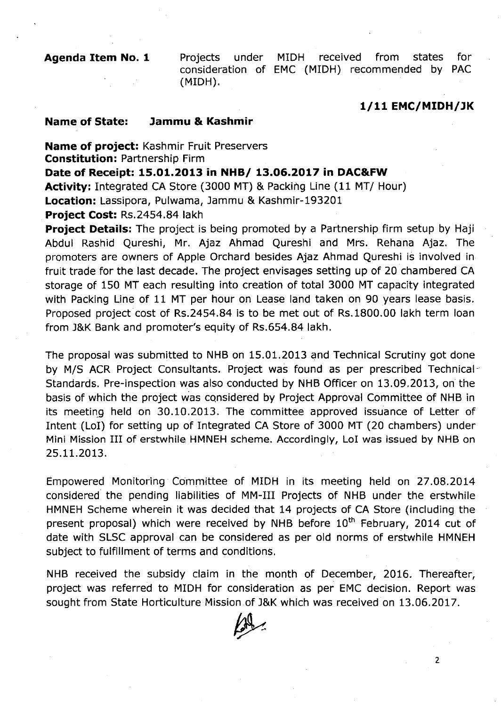**Agenda Item No. 1** Projects under MIDH received from states for consideration of EMC (MIDH) recommended by PAC (MIDH).

#### *1/11* **EMC/MIDH/lK**

2

#### **Name of State: lammu &.Kashmir**

**Name of project:** Kashmir Fruit Preservers **Constitution:** Partnership Firm **Date of Receipt: 15.01.2013 in NHBI 13.06.2017 in DAC&.FW Activity:** Integrated CA Store (3000 MT) & Packing Line (11 *MTI* Hour)

**Location:** Lassipora, Pulwama, Jammu & Kashmir-193201

**Project Cost:** Rs.2454.84 lakh

**Project Details:** The project is being promoted by a Partnership firm setup by Haji Abdul Rashid Qureshi, Mr. Ajaz Ahmad Qureshi and Mrs. Rehana Ajaz. The promoters are owners of Apple Orchard besides Ajaz Ahmad Qureshi is involved in fruit trade for the last decade. The project envisages setting up of 20 chambered CA storage of 150 MT each resulting into creation of total 3000 MT capacity integrated with Packing Line of 11 MT per hour on Lease land taken on 90 years lease basis. Proposed project cost of Rs.2454.84 is to be met out of Rs.1800.00 lakh term loan from J&K Bank and promoter's equity of Rs.654.84 lakh.

The proposal was submitted to NHB on 15.01.2013 and Technical Scrutiny got done by M/S ACR Project Consultants. Project was found as per prescribed Technical-Standards. Pre-inspection was also conducted by NHB Officer on 13.09.2013, on the basis of which the project was considered by Project Approval Committee of NHB in its rneetinq held on 30.10.2013. The committee approved issuance of Letter of Intent (LoI) for setting up of Integrated CA Store of 3000 MT (20 chambers) under Mini Mission III of erstwhile HMNEH scheme. Accordingly, LoI was issued by NHB on 25.11.2013.

Empowered Monitoring Committee of MIDH in its meeting held on 27.08.2014 considered' the pending liabilities of MM-III Projects of NHB under the erstwhile HMNEH Scheme wherein it was decided that 14 projects of CA Store (including the present proposal) which were received by NHB before  $10<sup>th</sup>$  February, 2014 cut of date with SLSC approval can be considered as per old norms of erstwhile HMNEH subject to fulfillment of terms and conditions.

NHB received the subsidy claim in the month of December, 2016. Thereafter, project was referred to MIDH for consideration as per EMC decision. Report was sought from State Horticulture Mission of J&K which was received on 13.06.2017.

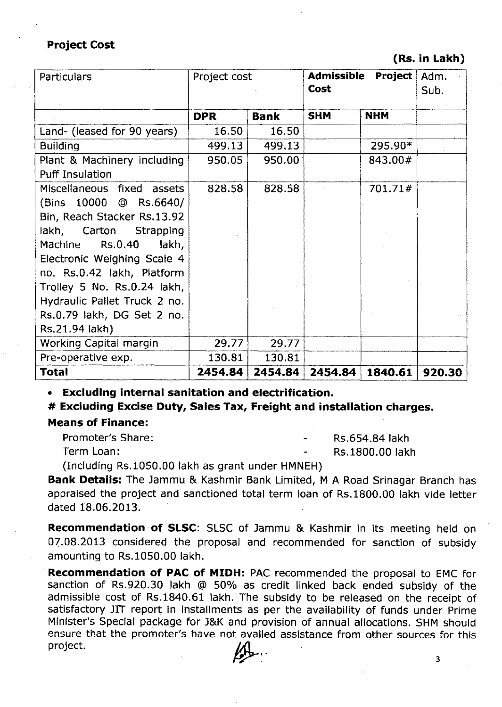## **Project Cost**

#### **(Rs. in Lakh)**

| Particulars                  | Project<br><b>Admissible</b><br>Project cost<br>Cost |             | Adm.<br>Sub. |            |        |
|------------------------------|------------------------------------------------------|-------------|--------------|------------|--------|
|                              | <b>DPR</b>                                           | <b>Bank</b> | <b>SHM</b>   | <b>NHM</b> |        |
| Land- (leased for 90 years)  | 16.50                                                | 16.50       |              |            |        |
| <b>Building</b>              | 499.13                                               | 499.13      |              | 295.90*    |        |
| Plant & Machinery including  | 950.05                                               | 950.00      |              | 843.00#    |        |
| <b>Puff Insulation</b>       |                                                      |             |              |            |        |
| Miscellaneous fixed assets   | 828.58                                               | 828.58      |              | 701.71#    |        |
| (Bins 10000 @ Rs.6640/       |                                                      |             |              |            |        |
| Bin, Reach Stacker Rs.13.92  |                                                      |             |              |            |        |
| lakh, Carton Strapping       |                                                      |             |              |            |        |
| Rs.0.40<br>Machine<br>lakh,  |                                                      |             |              |            |        |
| Electronic Weighing Scale 4  |                                                      |             |              |            |        |
| no. Rs.0.42 lakh, Platform   |                                                      |             |              |            |        |
| Trolley 5 No. Rs.0.24 lakh,  |                                                      |             |              |            |        |
| Hydraulic Pallet Truck 2 no. |                                                      |             |              |            |        |
| Rs.0.79 lakh, DG Set 2 no.   |                                                      |             |              |            |        |
| Rs.21.94 lakh)               |                                                      |             |              |            |        |
| Working Capital margin       | 29.77                                                | 29.77       |              |            |        |
| Pre-operative exp.           | 130.81                                               | 130.81      |              |            |        |
| <b>Total</b>                 | 2454.84                                              | 2454.84     | 2454.84      | 1840.61    | 920.30 |

**• Excluding internal sanitation and electrification.**

# **# Excluding Excise Duty, Sales Tax, Freight and installation charges.**

#### **Means of Finance:**

Promoter's Share:

RS.654.84 lakh

Term Loan:

Rs.1800.00 lakh

(Including Rs.1050.00 lakh as grant under HMNEH)

**Bank Details:** The Jammu & Kashmir Bank Limited, M A Road Srinagar Branch has appraised the project and sanctioned total term loan of Rs.1800.00 lakh vide letter dated 18.06.2013.

Recommendation of **SLSC:** SLSC of Jammu & Kashmir in its meeting held on 07.08.2013 considered the proposal and recommended for sanction of subsidy amounting to Rs.1050.00 lakh.

Recommendation of **PAC of MIDH:** PAC recommended the proposal to EMC for sanction of Rs.920.30 lakh @ 50% as credit linked back ended subsidy of the admissible cost of Rs.1840.61 lakh. The subsidy to be released on the receipt of satisfactory JIT report in installments as per the availability of funds under Prime Minister's Special package for J&K and provision of annual allocations. SHM should ensure that the promoter's have not availed assistance from other sources for this  $\mathcal{L}$ ,  $\mathcal{L}$ ,  $\mathcal{L}$ ,  $\mathcal{L}$ ,  $\mathcal{L}$ ,  $\mathcal{L}$ ,  $\mathcal{L}$ ,  $\mathcal{L}$ ,  $\mathcal{L}$ ,  $\mathcal{L}$ ,  $\mathcal{L}$ ,  $\mathcal{L}$ ,  $\mathcal{L}$ ,  $\mathcal{L}$ ,  $\mathcal{L}$ ,  $\mathcal{L}$ ,  $\mathcal{L}$ ,  $\mathcal{L}$ ,  $\mathcal{L}$ ,  $\mathcal{L}$ ,  $\mathcal{L}$ ,  $\mathcal{L}$ ,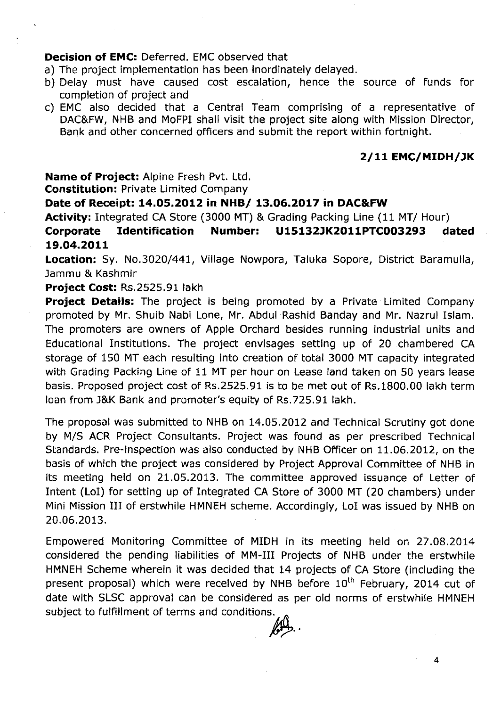#### **Decision of EMC:** Deferred. EMC observed that

- a) The project implementation has been inordinately delayed.
- b) Delay must have caused cost escalation, hence the source of funds for completion of project and
- c) EMC also decided that a Central Team comprising of a representative of DAC&FW, NHB and MoFPI shall visit the project site along with Mission Director, Bank and other concerned officers and submit the report within fortnight.

#### **2/11 EMC/MIDH/lK**

**Name of Project:** Alpine Fresh Pvt. Ltd.

**Constitution:** Private Limited Company

## **Date of Receipt: 14.05.2012 in NHB/ 13.06.2017 in DAC&FW**

**Activity:** Integrated CA Store (3000 MT) & Grading Packing Line (11 MT/ Hour) **Corporate Identification Number: U15132lK2011PTC003293 dated 19.04.2011**

**Location:** Sy. No.3020/441, Village Nowpora, Taluka Sopore, District Baramulla, Jammu & Kashmir

#### **Project Cost:** Rs.2525.91 lakh

**Project Details:** The project is being promoted by a Private Limited Company promoted by Mr. Shuib Nabi Lone, Mr. Abdul Rashid Banday and Mr. Nazrul Islam. The promoters are owners of Apple Orchard besides running industrial units and Educational Institutions. The project envisages setting up of 20 chambered CA storage of 150 MT each resulting into creation of total 3000 MT capacity integrated with Grading Packing Line of 11 MT per hour on Lease land taken on 50 years lease basis. Proposed project cost of Rs.2525.91 is to be met out of Rs.1S00.00 lakh term loan from J&K Bank and promoter's equity of Rs.725.91 lakh.

The proposal was submitted to NHB on 14.05.2012 and Technical Scrutiny got done by M/S ACR Project Consultants. Project was found as per prescribed Technical Standards. Pre-inspection was also conducted by NHB Officer on 11.06.2012, on the basis of which the project was considered by Project Approval Committee of NHB in its meeting held on 21.05.2013. The committee approved issuance of Letter of Intent (LoI) for setting up of Integrated CA Store of 3000 MT (20 chambers) under Mini Mission III of erstwhile HMNEH scheme. Accordingly, LoI was issued by NHB on 20.06.2013.

Empowered Monitoring Committee of MIDH in its meeting held on 27.0S.2014 considered the pending liabilities of MM-III Projects of NHB under the erstwhile HMNEH Scheme wherein it was decided that 14 projects of CA Store (including the present proposal) which were received by NHB before  $10<sup>th</sup>$  February, 2014 cut of date with SLSC approval can be considered as per old norms of erstwhile HMNEH subject to fulfillment of terms and conditions.

4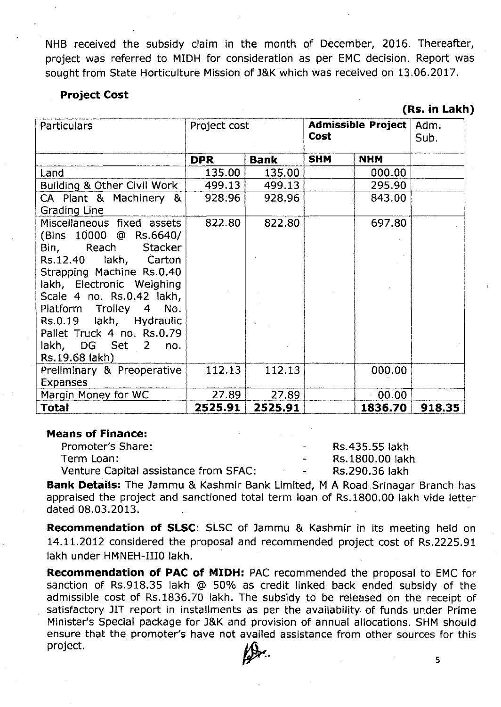NHB received the subsidy claim in the month of December, 2016. Thereafter, project was referred to MIDH for consideration as per EMC decision. Report was sought from State Horticulture Mission of J&K which was received on 13.06.2017.

#### **Project Cost**

**(Rs. in Lakh)**

| <b>Particulars</b>                   | Project cost |             | Admissible Project<br>Cost |            | Adm.<br>Sub. |
|--------------------------------------|--------------|-------------|----------------------------|------------|--------------|
|                                      | DPR.         | <b>Bank</b> | <b>SHM</b>                 | <b>NHM</b> |              |
| Land                                 | 135.00       | 135.00      |                            | 000.00     |              |
| Building & Other Civil Work          | 499.13       | 499.13      |                            | 295.90     |              |
| CA Plant & Machinery &               | 928.96       | 928.96      |                            | 843.00     |              |
| Grading Line                         |              |             |                            |            |              |
| Miscellaneous fixed assets           | 822.80       | 822.80      |                            | 697.80     |              |
| (Bins 10000 @ Rs.6640/               |              |             |                            |            |              |
| Bin, Reach Stacker                   |              |             |                            |            |              |
| Rs.12.40 lakh, Carton                |              |             |                            |            |              |
| Strapping Machine Rs.0.40            |              |             |                            |            |              |
| lakh, Electronic Weighing            |              |             |                            |            |              |
| Scale 4 no. Rs.0.42 lakh,            |              |             |                            |            |              |
| Platform Trolley 4 No.               |              |             |                            |            |              |
| Rs.0.19 lakh, Hydraulic              |              |             |                            |            |              |
| Pallet Truck 4 no. Rs.0.79           |              |             |                            |            |              |
| lakh, DG Set 2 no.<br>Rs.19.68 lakh) |              |             |                            |            |              |
| Preliminary & Preoperative           | 112.13       | 112.13      |                            | 000.00     |              |
| <b>Expanses</b>                      |              |             |                            |            |              |
| Margin Money for WC                  | 27.89        | 27.89       |                            | 00.00      |              |
| Total                                | 2525.91      | 2525.91     |                            | 1836.70    | 918.35       |

#### **Means of Finance:**

Promoter's Share: The Contract of the Rs.435.55 lakh Term Loan: Term Loan: Rs.1800.00 lakh Venture Capital assistance from SFAC: The Rs.290.36 lakh

**Bank Details:** The Jammu & Kashmir Bank Limited, M A Road Srinagar Branch has appraised the project and sanctioned total term loan of Rs.1800.00 lakh vide letter dated 08.03.2013.

**Recommendation of SLSC:** SLSC of Jammu & Kashmir in its meeting held on 14.11.2012 considered the proposal and recommended project cost of Rs.2225.91 lakh under HMNEH-IIIO lakh.

**Recommendation of PAC of MIDH:** PAC recommended the proposal to EMC for sanction of Rs.918.35 lakh @ 50% as credit linked back ended subsidy of the admissible cost of Rs.1836.70 lakh. The subsidy to be released on the receipt of satisfactory JIT report in installments as per the availability. of funds under Prime Minister's Special package for J&K and provision of annual allocations. SHM should ensure that the promoter's have not availed assistance from other sources for this  $\mathcal{L}$  and  $\mathcal{L}$  and  $\mathcal{L}$  and  $\mathcal{L}$  and  $\mathcal{L}$  and  $\mathcal{L}$  and  $\mathcal{L}$  and  $\mathcal{L}$  and  $\mathcal{L}$  and  $\mathcal{L}$  and  $\mathcal{L}$  and  $\mathcal{L}$  and  $\mathcal{L}$  and  $\mathcal{L}$  and  $\mathcal{L}$  and  $\mathcal{L}$  and  $\mathcal{L}$  and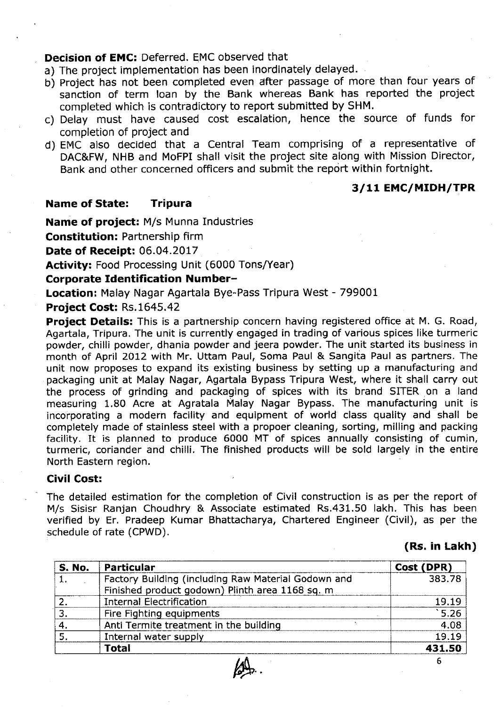### **Decision of EMC:** Deferred. EMC observed that

- a) The project implementation has been inordinately delayed.
- b) Project has not been completed even after passage of more than four years of sanction of term loan by the Bank whereas Bank has reported the project completed which is contradictory to report submitted by SHM.
- c) Delay must have caused cost escalation, hence the source of funds for completion of project and
- d) EMC also decided that a Central Team comprising of a representative of DAC&FW, NHB and MoFPI shall visit the project site along with Mission Director, Bank and other concerned officers and submit the report within fortnight.

# **3/11 EMC/MIDH/TPR**

#### **Name of State: Tripura**

**Name of project:** M/s Munna Industries

**Constitution:** Partnership firm

**Date of Receipt:** 06.04.2017

**Activity:** Food Processing Unit (6000 Tons/Year)

#### **Corporate Identification Number-**

**Location:** Malay Nagar Agartala Bye-Pass Tripura West - 799001

### **Project Cost:** RS.1645,42

**Project Details:** This is a partnership concern having registered office at M. G. Road, Agartala, Tripura. The unit is currently engaged in trading of various spices like turmeric powder, chilli powder, dhania powder and jeera powder. The unit started its business in month of April 2012 with Mr. Uttam Paul, Soma Paul & Sanqita Paul as partners. The unit now proposes to expand its existing business by setting up a manufacturing and packaging unit at Malay Nagar, Agartala Bypass Tripura West, where it shall carry out the process of grinding and packaging of spices with its brand SITER on a land measuring 1.80 Acre at Agratala Malay Nagar Bypass. The manufacturing unit is incorporating a modern facility and equipment of world class quality and shall be completely made of stainless steel with a propoer cleaning, sorting, milling and packing facility. It is planned to produce 6000 MT of spices annually consisting of cumin, turmeric, coriander and chilli. The finished products will be sold largely in the entire North Eastern region.

#### **Civil Cost:**

The detailed estimation for the completion of Civil construction is as per the report of M/s Sisisr Ranjan Choudhry & Associate estimated Rs.431.50 lakh. This has been verified by Er. Pradeep Kumar Bhattacharya, Chartered Engineer (Civil), as per the schedule of rate (CPWD).

**(Rs. in Lakh)**

| <b>S. No.</b> | Particular                                          | Cost (DPR) |
|---------------|-----------------------------------------------------|------------|
|               | Factory Building (including Raw Material Godown and | 383.78     |
|               | Finished product godown) Plinth area 1168 sq. m     |            |
|               | <b>Internal Electrification</b>                     | 19.19      |
|               | Fire Fighting equipments                            | 5.26       |
|               | Anti Termite treatment in the building              | 4.08       |
|               | Internal water supply                               | 19.19      |
|               | <b>Total</b>                                        | 431.50     |
|               |                                                     |            |



6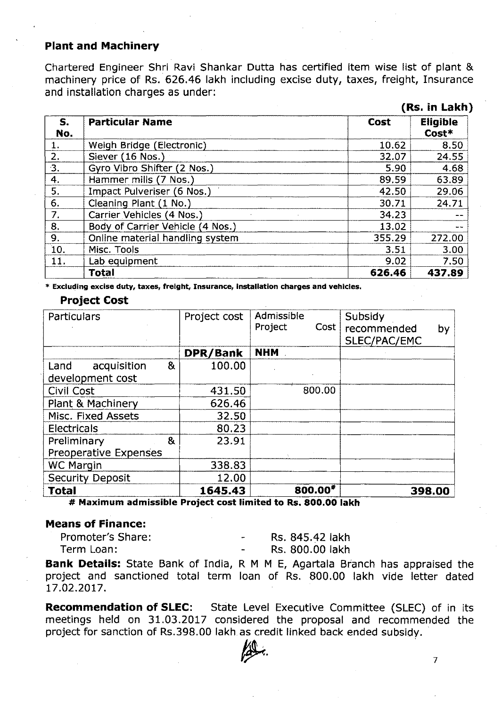#### Plant and Machinery

Chartered Engineer Shri Ravi Shankar Dutta has certified item wise list of plant & machinery price of Rs. 626.46 lakh including excise duty, taxes, freight, Insurance and installation charges as under:

|           |                                  |        | (Rs. in Lakh)            |
|-----------|----------------------------------|--------|--------------------------|
| S.<br>No. | <b>Particular Name</b>           | Cost   | <b>Eligible</b><br>Cost* |
| 1.        | Weigh Bridge (Electronic)        | 10.62  | 8.50                     |
| 2.        | Siever (16 Nos.)                 | 32.07  | 24.55                    |
| З.        | Gyro Vibro Shifter (2 Nos.)      | 5.90   | 4.68                     |
| 4.        | Hammer mills (7 Nos.)            | 89.59  | 63.89                    |
| 5.        | Impact Pulveriser (6 Nos.)       | 42.50  | 29.06                    |
| 6.        | Cleaning Plant (1 No.)           | 30.71  | 24.71                    |
| 7.        | Carrier Vehicles (4 Nos.)        | 34.23  | --                       |
| 8.        | Body of Carrier Vehicle (4 Nos.) | 13.02  | www.                     |
| 9.        | Online material handling system  | 355.29 | 272.00                   |
| 10.       | Misc. Tools                      | 3.51   | 3.00                     |
| 11.       | Lab equipment                    | 9.02   | 7.50                     |
|           | <b>Total</b>                     | 626.46 | 437.89                   |

\* Excluding excise duty, taxes, freight, Insurance, installation charges and vehicles.

#### Project Cost

| Particulars                                                  | Project cost | Admissible<br>Project<br>Cost | Subsidy<br>recommended<br>by<br>SLEC/PAC/EMC |
|--------------------------------------------------------------|--------------|-------------------------------|----------------------------------------------|
|                                                              | DPR/Bank     | <b>NHM</b>                    |                                              |
| &<br>acquisition<br>Land                                     | 100.00       |                               |                                              |
| development cost                                             |              |                               |                                              |
| <b>Civil Cost</b>                                            | 431.50       | 800.00                        |                                              |
| Plant & Machinery                                            | 626.46       |                               |                                              |
| Misc. Fixed Assets                                           | 32.50        |                               |                                              |
| <b>Electricals</b>                                           | 80.23        |                               |                                              |
| 8 <sub>t</sub><br>Preliminary                                | 23.91        |                               |                                              |
| <b>Preoperative Expenses</b>                                 |              |                               |                                              |
| <b>WC Margin</b>                                             | 338.83       |                               |                                              |
| <b>Security Deposit</b>                                      | 12.00        |                               |                                              |
| <b>Total</b>                                                 | 1645.43      | 800.00*                       | 398.00                                       |
| # Maximum admissible Project cost limited to Rs. 800.00 lakh |              |                               |                                              |

# Means of Finance:

| Promoter's Share: | Rs. 845.42 lakh |
|-------------------|-----------------|
| Term Loan:        | Rs. 800.00 lakh |

Bank Details: State Bank of India, R M M E, Agartala Branch has appraised the project and sanctioned total term loan of Rs. SOO.OO lakh vide letter dated 17.02.2017.

**Recommendation of SLEC:** State Level Executive Committee (SLEC) of in its meetings held on 31.03.2017 considered the proposal and recommended the project for sanction of Rs.39S.00 lakh as credit linked back ended subsidy. '

 $\sim$ .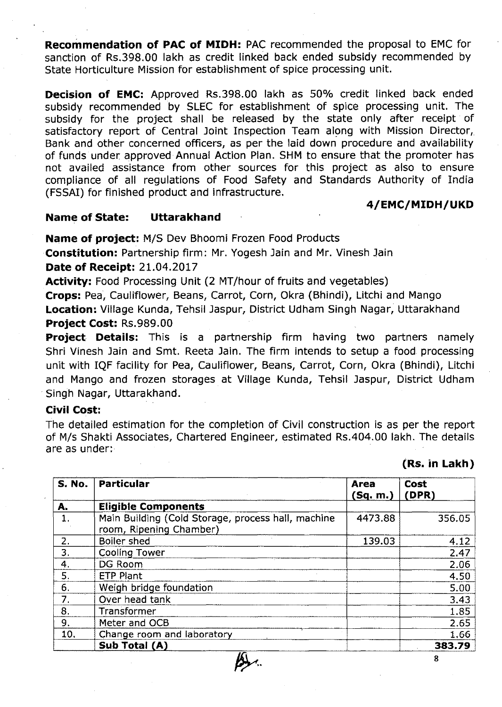**Recommendation of PAC of MIDH:** PAC recommended the proposal to EMC for sanction of Rs.398.00 lakh as credit linked back ended subsidy recommended by State Horticulture Mission for establishment of spice processing unit.

**Decision of EMC:** Approved Rs.398.00 lakh as 50% credit linked back ended subsidy recommended by SLEC for establishment of spice processing unit. The subsidy for the project shall be released by the state only after receipt' of satisfactory report of Central Joint Inspection Team along with Mission Director, Bank and other concerned officers, as per the laid down procedure and availability of funds under approved Annual Action Plan. SHM to ensure that the promoter has not availed assistance from other sources for this project as also to ensure compliance of all regulations of Food Safety and Standards Authority of India (FSSAI) for finished product and infrastructure.

#### **4/EMC/MIDH/UKD**

#### **Name of State: Uttarakhand**

**Name of project:** MIS Dev Bhoomi Frozen Food Products

**Constitution:** Partnership firm: Mr. Yogesh Jain and Mr. Vinesh Jain

**Date of Receipt:** 21.04.2017

Activity: Food Processing Unit (2 MT/hour of fruits and vegetables)

Crops: Pea, Cauliflower, Beans, Carrot, Corn, Okra (Bhindi), Litchi and Mango **Location:** Village Kunda, Tehsil Jaspur, District Udham Singh Nagar, Uttarakhand **Project Cost:** Rs.989.00

**Project Details:** This is a partnership firm having two partners namely Shri Vinesh Jain and Smt. Reeta Jain. The firm intends to setup a food processing unit with IQF facility for Pea, Cauliflower, Beans, Carrot, Corn, Okra (Bhindi), Litchi and Mango and frozen storages at Village Kunda, Tehsil Jaspur, District Udham Singh Nagar, Uttarakhand.

#### **Civil Cost:**

The detailed estimation for the completion of Civil construction is as per the report of Mis Shakti Associates, Chartered Engineer, estimated Rs.404.00 lakh. The details are as under:

### **(Rs. in Lakh)**

| <b>S. No.</b>    | <b>Particular</b>                                                             | <b>Area</b><br>(Sq. m.) | <b>Cost</b><br>(DPR) |
|------------------|-------------------------------------------------------------------------------|-------------------------|----------------------|
| A.               | <b>Eligible Components</b>                                                    |                         |                      |
| 1.               | Main Building (Cold Storage, process hall, machine<br>room, Ripening Chamber) | 4473.88                 | 356.05               |
| $\overline{2}$ . | <b>Boiler shed</b>                                                            | 139.03                  | 4.12                 |
| 3.               | <b>Cooling Tower</b>                                                          |                         | 2.47                 |
| 4.               | DG Room                                                                       |                         | 2.06                 |
| 5.               | <b>ETP Plant</b>                                                              |                         | 4.50                 |
| 6.               | Weigh bridge foundation                                                       |                         | 5.00                 |
| 7.               | Over head tank                                                                |                         | 3,43                 |
| 8.               | Transformer                                                                   |                         | 1.85                 |
| 9.               | Meter and OCB                                                                 |                         | 2.65                 |
| 10.              | Change room and laboratory                                                    |                         | 1.66                 |
|                  | Sub Total (A)                                                                 |                         | 383.79               |
|                  | Ű۱                                                                            |                         | 8                    |

 $\beta$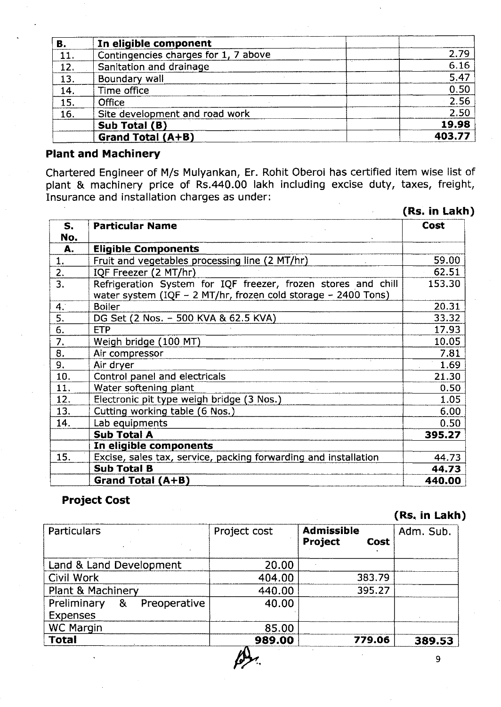| В.  | In eligible component                |        |
|-----|--------------------------------------|--------|
| 11. | Contingencies charges for 1, 7 above | 2.79   |
| 12. | Sanitation and drainage              | 6.16   |
| 13. | Boundary wall                        | 5.47   |
| 14. | Time office                          | 0.50   |
| 15. | Office                               | 2.56   |
| 16. | Site development and road work       | 2,50   |
|     | Sub Total (B)                        | 19.98  |
|     | Grand Total (A+B)                    | 403.77 |

# **Plant and Machinery**

Chartered Engineer of M/s Mulyankan, Er. Rohit Oberoi has certified item wise list of plant & machinery price of Rs.440.00 lakh including excise duty, taxes, freight, Insurance and installation charges as under:

|           |                                                                                                                                | (Rs. in Lakh) |
|-----------|--------------------------------------------------------------------------------------------------------------------------------|---------------|
| S.<br>No. | <b>Particular Name</b>                                                                                                         | <b>Cost</b>   |
| A.        | <b>Eligible Components</b>                                                                                                     |               |
| 1.        | Fruit and vegetables processing line (2 MT/hr)                                                                                 | 59.00         |
| 2.        | IQF Freezer (2 MT/hr)                                                                                                          | 62.51         |
| 3.        | Refrigeration System for IQF freezer, frozen stores and chill<br>water system (IQF - 2 MT/hr, frozen cold storage - 2400 Tons) | 153.30        |
| 4.        | <b>Boiler</b>                                                                                                                  | 20.31         |
| 5.        | DG Set (2 Nos. - 500 KVA & 62.5 KVA)                                                                                           | 33.32         |
| 6.        | <b>ETP</b>                                                                                                                     | 17.93         |
| 7.        | Weigh bridge (100 MT)                                                                                                          | 10.05         |
| 8.        | Air compressor                                                                                                                 | 7.81          |
| 9.        | Air dryer                                                                                                                      | 1.69          |
| 10.       | Control panel and electricals                                                                                                  | 21.30         |
| 11.       | Water softening plant                                                                                                          | 0.50          |
| 12.       | Electronic pit type weigh bridge (3 Nos.)                                                                                      | 1.05          |
| 13.       | Cutting working table (6 Nos.)                                                                                                 | 6.00          |
| 14.       | Lab equipments                                                                                                                 | 0.50          |
|           | <b>Sub Total A</b>                                                                                                             | 395.27        |
|           | In eligible components                                                                                                         |               |
| 15.       | Excise, sales tax, service, packing forwarding and installation                                                                | 44.73         |
|           | <b>Sub Total B</b>                                                                                                             | 44.73         |
|           | Grand Total (A+B)                                                                                                              | 440.00        |

# **Project Cost**

# (Rs~**in Lakh)**

| Particulars                                         | Project cost | <b>Admissible</b><br>Project<br><b>Cost</b> | Adm. Sub. |
|-----------------------------------------------------|--------------|---------------------------------------------|-----------|
| Land & Land Development                             | 20.00        |                                             |           |
| Civil Work                                          | 404.00       | 383.79                                      |           |
| Plant & Machinery                                   | 440.00       | 395.27                                      |           |
| Preliminary<br>Preoperative<br>&<br><b>Expenses</b> | 40.00        |                                             |           |
| <b>WC Margin</b>                                    | 85.00        |                                             |           |
| <b>Total</b>                                        | 989.00       | 779.06                                      | 389.53    |

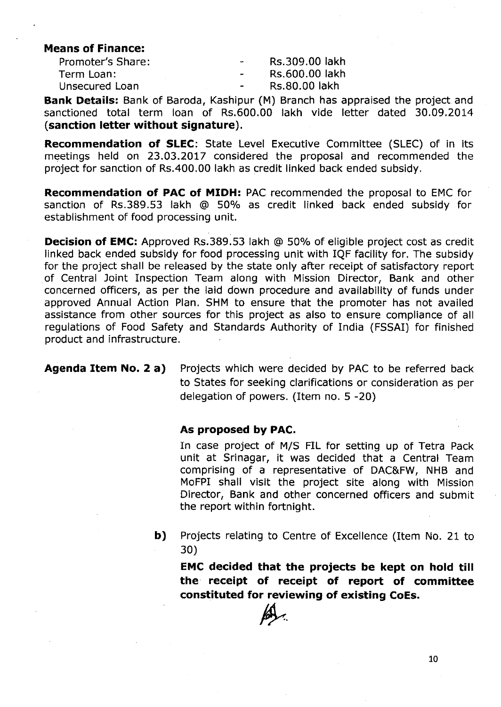**Means of Finance:**

| <b>Promoter's Share:</b> | $\sim$ | Rs.309.00 lakh |
|--------------------------|--------|----------------|
| Term Loan:               | $\sim$ | Rs.600.00 lakh |
| Unsecured Loan           |        | Rs.80.00 lakh  |

**Bank Details:** Bank of Baroda, Kashipur (M) Branch has appraised the project and sanctioned total term loan of Rs.600.00 lakh vide letter dated 30.09.2014 **(sanction letter without signature).**

**Recommendation of SLEC:** State Level Executive Committee (SLEC) of in its meetings held on 23.03.2017 considered the proposal and recommended the project for sanction of Rs.400.00 lakh as credit linked back ended subsidy.

**Recommendation of PAC of MIDH:** PAC recommended the proposal to EMC for sanction of RS.389.53 lakh @ 50% as credit linked· back ended subsidy for establishment of food processing unit.

**Decision of EMC:** Approved Rs.389.53 lakh @ 50% of eligible project cost as credit linked back ended subsidy for food processing unit with IQF facility for. The subsidy for the project shall be released by the state only after receipt of satisfactory report of Central Joint Inspection Team along with Mission Director, Bank and other concerned officers, as per the laid down procedure and availability of funds under approved Annual Action Plan. SHM to ensure that the promoter has not availed assistance from other sources for this project as also to ensure compliance of all regulations of Food Safety and Standards Authority of India (FSSAI) for finished product and infrastructure.

**Agenda Item No.2 a)** Projects which were decided by PAC to be referred back to States for seeking clarifications or consideration as per delegation of powers. (Item no. 5 -20)

#### **As proposed by PAC.**

In case project of *MIS* FIL for setting up of Tetra Pack unit at Srinagar, it was decided that a Central Team comprising of a representative of DAC&FW, NHB and MoFPI shall visit the project site along with Mission Director, Bank and other concerned officers and submit the report within fortnight.

**b)** Projects relating to Centre of Excellence (Item No. 21 to 30)

**EMC decided that the projects be kept on hold till** the **receipt of receipt of report of committee constituted for reviewing of existing CoEs.**

~.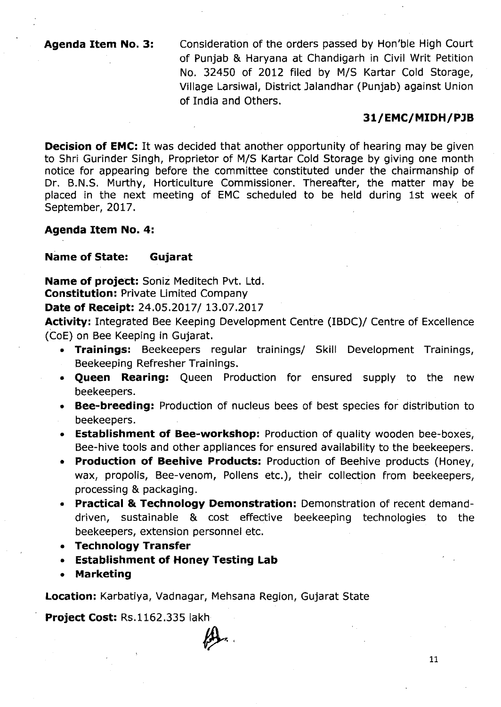**Agenda Item No.3:** Consideration of the orders passed by Hon'ble High Court of Punjab & Haryana at Chandigarh in Civil Writ Petition No. 32450 of 2012 filed by M/S Kartar Cold Storage, Village Larsiwal, District Jalandhar (Punjab) against Union of India and Others.

#### **31/EMC/MIDH/PlB**

**Decision of EMC:** It was decided that another opportunity of hearing may be given to Shri Gurinder Singh, Proprietor of M/S Kartar Cold Storage by giving one month notice for appearing before the committee Constituted under the chairmanship of Dr. B.N.S. Murthy, Horticulture Commissioner. Thereafter, the matter may be placed in the next meeting of EMC scheduled to be held during 1st week of September, 2017.

#### **Agenda Item No.4:**

#### Name of **State: Gujarat**

**Name of** project: Soniz Meditech Pvt. Ltd. **Constitution:** Private Limited Company

**Date of Receipt:** 24.05.2017/ 13.07.2017

**Activity:** Integrated Bee Keeping Development Centre (IBDC)/ Centre of Excellence (CoE) on Bee Keeping in Gujarat,

- **• Trainings:** Beekeepers regular trainings/ Skill Development Trainings, Beekeeping Refresher Trainings.
- **• Queen Rearing:** Queen Production for ensured supply to the new beekeepers.
- **• Bee-breeding:** Production of nucleus bees of best species for distribution to beekeepers.
- **• Establishment of Bee-workshop:** Production of quality wooden bee-boxes, Bee-hive tools and other appliances for ensured availability to the beekeepers.
- **• Production of Beehive Products:** Production of Beehive products (Honey, wax, propolis, Bee-venom, Pollens etc.), their collection from beekeepers, processing & packaging.
- **• Practical & Technology Demonstration:** Demonstration of recent demanddriven, sustainable & cost effective beekeeping technologies to the beekeepers, extension personnel etc.
- **• Technology Transfer**
- **• Establishment of Honey Testing Lab**
- **• Marketing**

**Location:** Karbatiya, Vadnagar, Mehsana Region, Gujarat State

**Project Cost:** Rs.1162.335 lakh

 $\cancel{\mu}$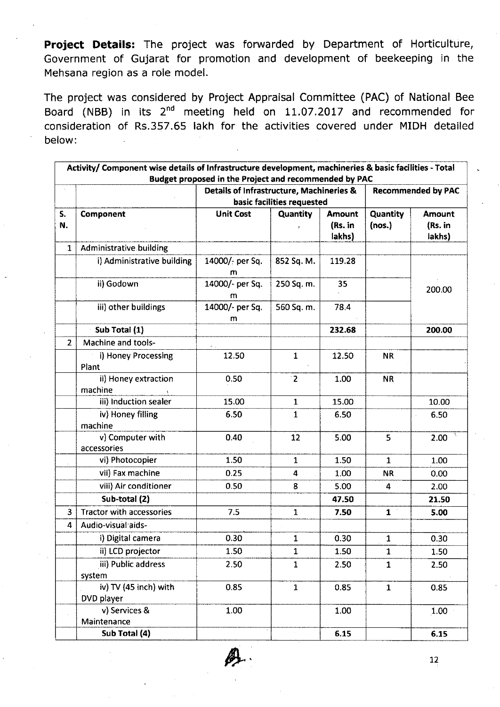**Project Details:** The project was forwarded by Department of Horticulture, Government of Gujarat for promotion and development of beekeeping in the Mehsana region as a role model.

The project was considered by Project Appraisal Committee (PAC) of National Bee Board (NBB) in its 2<sup>nd</sup> meeting held on 11.07.2017 and recommended for consideration of RS.357.65 lakh for the activities covered under MIDH detailed below:

|                | Activity/ Component wise details of Infrastructure development, machineries & basic facilities - Total | Budget proposed in the Project and recommended by PAC |                            |                                    |                           |                                    |
|----------------|--------------------------------------------------------------------------------------------------------|-------------------------------------------------------|----------------------------|------------------------------------|---------------------------|------------------------------------|
|                |                                                                                                        | <b>Details of Infrastructure, Machineries &amp;</b>   |                            |                                    |                           | <b>Recommended by PAC</b>          |
|                |                                                                                                        |                                                       | basic facilities requested |                                    |                           |                                    |
| S.<br>N.       | Component                                                                                              | <b>Unit Cost</b>                                      | <b>Quantity</b>            | <b>Amount</b><br>(Rs. in<br>lakhs) | <b>Quantity</b><br>(nos.) | <b>Amount</b><br>(Rs. in<br>lakhs) |
| $\mathbf{1}$   | Administrative building                                                                                |                                                       |                            |                                    |                           |                                    |
|                | i) Administrative building                                                                             | 14000/- per Sq.<br>m                                  | 852 Sq. M.                 | 119.28                             |                           |                                    |
|                | ii) Godown                                                                                             | 14000/- per Sq.<br>m                                  | 250 Sq. m.                 | 35                                 |                           | 200.00                             |
|                | iii) other buildings                                                                                   | 14000/- per Sq.<br>m                                  | 560 Sq. m.                 | 78.4                               |                           |                                    |
|                | Sub Total (1)                                                                                          |                                                       |                            | 232.68                             |                           | 200.00                             |
| $\overline{2}$ | Machine and tools-                                                                                     |                                                       |                            |                                    |                           |                                    |
|                | i) Honey Processing<br>Plant                                                                           | 12.50                                                 | 1                          | 12.50                              | NR.                       |                                    |
|                | ii) Honey extraction<br>machine                                                                        | 0.50                                                  | $\overline{2}$             | 1.00                               | <b>NR</b>                 |                                    |
|                | iii) Induction sealer                                                                                  | 15.00                                                 | $\mathbf 1$                | 15.00                              |                           | 10.00                              |
|                | iv) Honey filling<br>machine                                                                           | 6.50                                                  | $\mathbf{1}$               | 6.50                               |                           | 6.50                               |
|                | v) Computer with<br>accessories                                                                        | 0.40                                                  | 12                         | 5.00                               | 5                         | 2.00                               |
|                | vi) Photocopier                                                                                        | 1.50                                                  | 1                          | 1.50                               | 1                         | 1.00                               |
|                | vii) Fax machine                                                                                       | 0.25                                                  | 4                          | 1.00                               | <b>NR</b>                 | 0.00                               |
|                | viii) Air conditioner                                                                                  | 0.50                                                  | 8                          | 5.00                               | 4                         | 2.00                               |
|                | Sub-total (2)                                                                                          |                                                       |                            | 47.50                              |                           | 21.50                              |
| 3              | <b>Tractor with accessories</b>                                                                        | 7.5                                                   | $\mathbf{1}$               | 7.50                               | 1 <sup>1</sup>            | 5.00                               |
| 4              | Audio-visual aids-                                                                                     |                                                       |                            |                                    |                           |                                    |
|                | i) Digital camera                                                                                      | 0.30                                                  | 1                          | 0.30                               | $\mathbf{1}$              | 0.30                               |
|                | ii) LCD projector                                                                                      | 1.50                                                  | 1                          | 1.50                               | $\mathbf{1}$              | 1.50                               |
|                | iii) Public address<br>system                                                                          | 2.50                                                  | $\mathbf{1}$               | 2.50                               | $\mathbf{1}$              | 2.50                               |
|                | iv) TV (45 inch) with<br>DVD player                                                                    | 0.85                                                  | $\mathbf{1}$               | 0.85                               | $\mathbf{1}$              | 0.85                               |
|                | v) Services &<br>Maintenance                                                                           | 1.00                                                  |                            | 1.00                               |                           | 1.00                               |
|                | Sub Total (4)                                                                                          |                                                       |                            | 6.15                               |                           | 6.15                               |

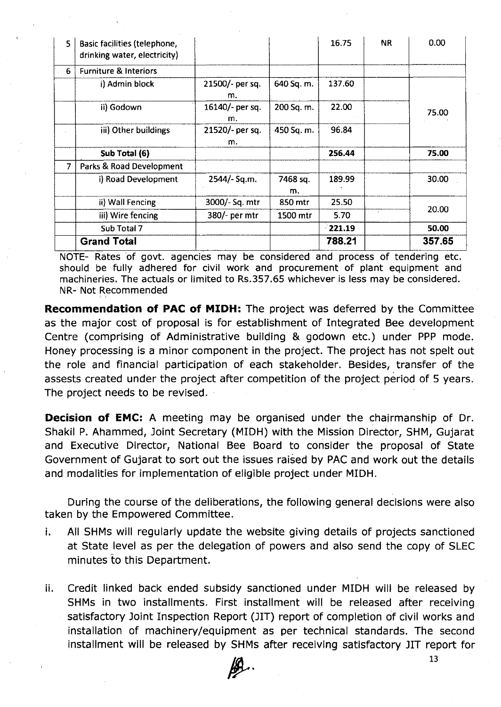| 5 | Basic facilities (telephone,<br>drinking water, electricity) |                       |                | 16.75     | NR. | 0.00   |
|---|--------------------------------------------------------------|-----------------------|----------------|-----------|-----|--------|
| 6 | <b>Furniture &amp; Interiors</b>                             |                       |                |           |     |        |
|   | i) Admin block                                               | 21500/- per sq.<br>m. | 640 Sq. m.     | 137.60    |     |        |
|   | ii) Godown                                                   | 16140/- per sq.<br>m. | 200 Sq. m.     | 22.00     |     | 75.00  |
|   | iii) Other buildings                                         | 21520/- per sq.<br>m. | 450 Sq. m.     | 96.84     |     |        |
|   | Sub Total (6)                                                |                       |                | 256.44    |     | 75.00  |
| 7 | Parks & Road Development                                     |                       |                |           |     |        |
|   | i) Road Development                                          | 2544/- Sq.m.          | 7468 sq.<br>m. | 189.99    |     | 30.00  |
|   | ii) Wall Fencing                                             | 3000/- Sq. mtr        | 850 mtr        | 25.50     |     |        |
|   | iii) Wire fencing                                            | 380/- per mtr         | 1500 mtr       | 5.70      |     | 20.00  |
|   | Sub Total 7                                                  |                       |                | $-221.19$ |     | 50.00  |
|   | <b>Grand Total</b>                                           |                       |                | 788.21    |     | 357.65 |

NOTE- Rates of govt. agencies may be considered and process of tendering etc. should be fully adhered for civil work and procurement of plant equipment and machineries. The actuals or limited to Rs.357.65 whichever is less may be considered. NR- Not Recommended

*-,* "

Recommendation of PAC of MIDH: The project was deferred by the Committee as the major cost of proposal is for establishment of Integrated Bee development Centre (comprising of Administrative building & godown etc.) under PPP mode. Honey processing is a minor component in the project. The project has not spelt out the role and financial participation of each stakeholder. Besides, transfer of the assests created under the project after competition of the project period of 5 years. The project needs to be revised.

**Decision of EMC:** A meeting may be organised under the chairmanship of Dr. Shakil P. Ahammed, Joint Secretary (MIDH) with the Mission Director, SHM, Gujarat and Executive Director, National Bee Board to consider the proposal of State Government of Gujarat to sort out the issues raised by PAC and work out the details and modalities for implementation of eligible project under MIDH.

During the course of the deliberations, the following general decisions were also taken by the Empowered Committee.

- i. All SHMs will regularly update the website giving details of projects sanctioned at State level as per the delegation of powers and also send the copy of SLEC minutes to this Department.
- ii. Credit linked back ended subsidy sanctioned under MIDH will be released by SHMs in two installments. First installment will be released after receiving satisfactory Joint Inspection Report (JIT) report of completion of civil works and installation of machinery/equipment as per technical standards. The second installment will be released by SHMs after receiving satisfactory JIT report for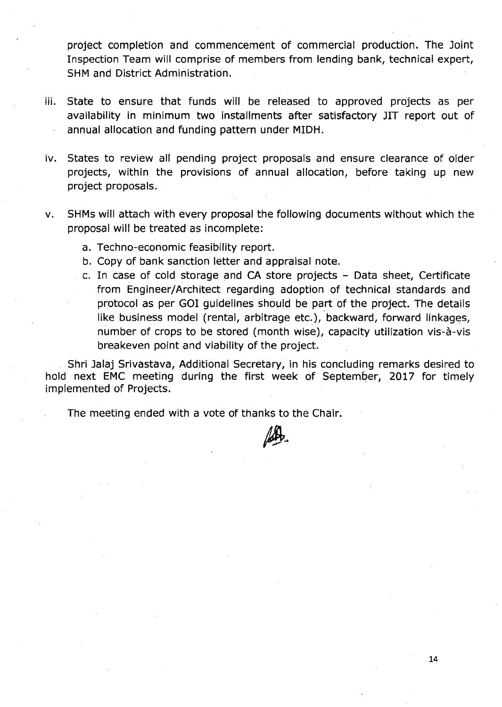project completion and commencement of commercial production. The Joint Inspection Team will comprise of members from lending bank, technical expert, SHM and District Administration.

- iii. State to ensure that funds will be released to approved projects as per availability in minimum two installments after satisfactory JIT report out of annual allocation and funding pattern under MIDH.
- iv. States to review all pending project proposals and ensure clearance of older projects, within the provisions of annual allocation, before taking up new project proposals.
- v. SHMs will attach with every proposal the following documents without which the proposal will be treated as incomplete:
	- a. Techno-economic feasibility report.
	- b. Copy of bank sanction letter and appraisal note.
	- c. In case of cold storage and CA store projects Data sheet, Certificate from Engineer/Architect regarding adoption of technical standards and protocol as per GOI guidelines should be part of the project. The details like business model (rental, arbitrage etc.), backward, forward linkages, number of crops to be stored (month wise), capacity utilization vis-à-vis breakeven point and viability of the project.

Shri Jalaj Srivastava, Additional Secretary, in his concluding remarks desired to hold next EMC meeting during the first week of September, 2017 for timely implemented of Projects.

The meeting ended with a vote of thanks to the Chair.